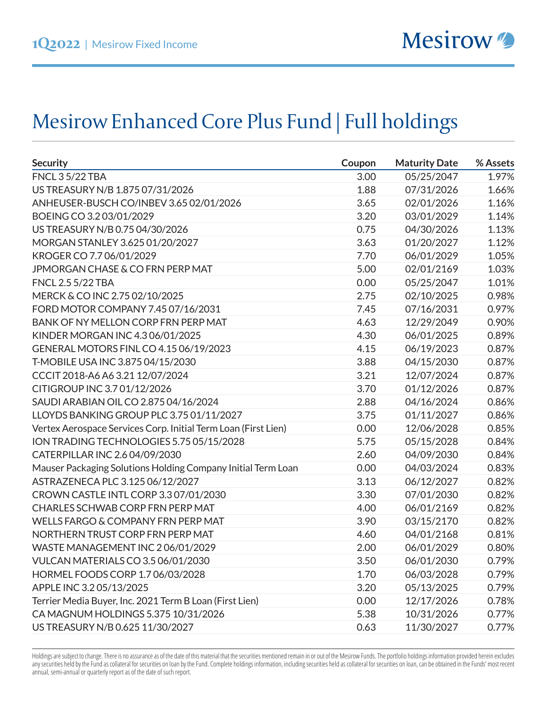## Mesirow Enhanced Core Plus Fund | Full holdings

| <b>Security</b>                                                | Coupon | <b>Maturity Date</b> | % Assets |
|----------------------------------------------------------------|--------|----------------------|----------|
| <b>FNCL 3 5/22 TBA</b>                                         | 3.00   | 05/25/2047           | 1.97%    |
| US TREASURY N/B 1.875 07/31/2026                               | 1.88   | 07/31/2026           | 1.66%    |
| ANHEUSER-BUSCH CO/INBEV 3.65 02/01/2026                        | 3.65   | 02/01/2026           | 1.16%    |
| BOEING CO 3.2 03/01/2029                                       | 3.20   | 03/01/2029           | 1.14%    |
| US TREASURY N/B 0.75 04/30/2026                                | 0.75   | 04/30/2026           | 1.13%    |
| MORGAN STANLEY 3.625 01/20/2027                                | 3.63   | 01/20/2027           | 1.12%    |
| KROGER CO 7.7 06/01/2029                                       | 7.70   | 06/01/2029           | 1.05%    |
| <b>JPMORGAN CHASE &amp; CO FRN PERP MAT</b>                    | 5.00   | 02/01/2169           | 1.03%    |
| <b>FNCL 2.5 5/22 TBA</b>                                       | 0.00   | 05/25/2047           | 1.01%    |
| MERCK & CO INC 2.75 02/10/2025                                 | 2.75   | 02/10/2025           | 0.98%    |
| FORD MOTOR COMPANY 7.45 07/16/2031                             | 7.45   | 07/16/2031           | 0.97%    |
| BANK OF NY MELLON CORP FRN PERP MAT                            | 4.63   | 12/29/2049           | 0.90%    |
| KINDER MORGAN INC 4.306/01/2025                                | 4.30   | 06/01/2025           | 0.89%    |
| GENERAL MOTORS FINL CO 4.15 06/19/2023                         | 4.15   | 06/19/2023           | 0.87%    |
| T-MOBILE USA INC 3.875 04/15/2030                              | 3.88   | 04/15/2030           | 0.87%    |
| CCCIT 2018-A6 A6 3.21 12/07/2024                               | 3.21   | 12/07/2024           | 0.87%    |
| CITIGROUP INC 3.7 01/12/2026                                   | 3.70   | 01/12/2026           | 0.87%    |
| SAUDI ARABIAN OIL CO 2.875 04/16/2024                          | 2.88   | 04/16/2024           | 0.86%    |
| LLOYDS BANKING GROUP PLC 3.75 01/11/2027                       | 3.75   | 01/11/2027           | 0.86%    |
| Vertex Aerospace Services Corp. Initial Term Loan (First Lien) | 0.00   | 12/06/2028           | 0.85%    |
| ION TRADING TECHNOLOGIES 5.75 05/15/2028                       | 5.75   | 05/15/2028           | 0.84%    |
| CATERPILLAR INC 2.6 04/09/2030                                 | 2.60   | 04/09/2030           | 0.84%    |
| Mauser Packaging Solutions Holding Company Initial Term Loan   | 0.00   | 04/03/2024           | 0.83%    |
| ASTRAZENECA PLC 3.125 06/12/2027                               | 3.13   | 06/12/2027           | 0.82%    |
| CROWN CASTLE INTL CORP 3.307/01/2030                           | 3.30   | 07/01/2030           | 0.82%    |
| CHARLES SCHWAB CORP FRN PERP MAT                               | 4.00   | 06/01/2169           | 0.82%    |
| WELLS FARGO & COMPANY FRN PERP MAT                             | 3.90   | 03/15/2170           | 0.82%    |
| NORTHERN TRUST CORP FRN PERP MAT                               | 4.60   | 04/01/2168           | 0.81%    |
| WASTE MANAGEMENT INC 206/01/2029                               | 2.00   | 06/01/2029           | 0.80%    |
| VULCAN MATERIALS CO 3.5 06/01/2030                             | 3.50   | 06/01/2030           | 0.79%    |
| HORMEL FOODS CORP 1.7 06/03/2028                               | 1.70   | 06/03/2028           | 0.79%    |
| APPLE INC 3.205/13/2025                                        | 3.20   | 05/13/2025           | 0.79%    |
| Terrier Media Buyer, Inc. 2021 Term B Loan (First Lien)        | 0.00   | 12/17/2026           | 0.78%    |
| CA MAGNUM HOLDINGS 5.375 10/31/2026                            | 5.38   | 10/31/2026           | 0.77%    |
| US TREASURY N/B 0.625 11/30/2027                               | 0.63   | 11/30/2027           | 0.77%    |

Holdings are subject to change. There is no assurance as of the date of this material that the securities mentioned remain in or out of the Mesirow Funds. The portfolio holdings information provided herein excludes any securities held by the Fund as collateral for securities on loan by the Fund. Complete holdings information, including securities held as collateral for securities on loan, can be obtained in the Funds' most recent annual, semi-annual or quarterly report as of the date of such report.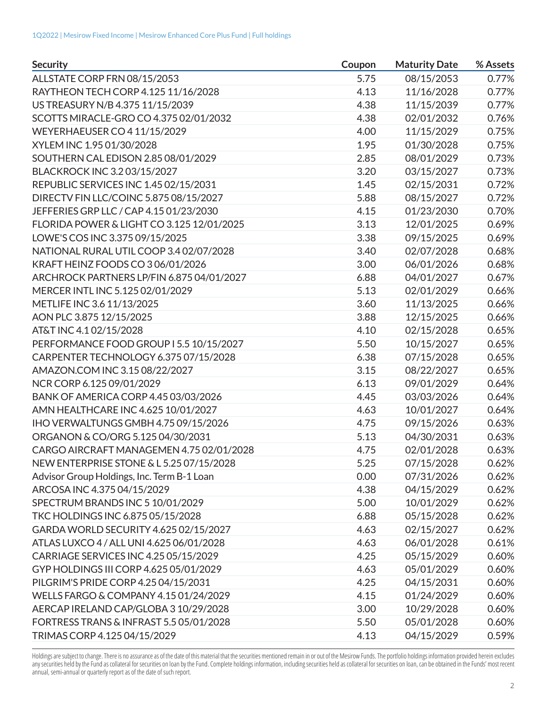| <b>Security</b>                            | Coupon | <b>Maturity Date</b> | % Assets |
|--------------------------------------------|--------|----------------------|----------|
| ALLSTATE CORP FRN 08/15/2053               | 5.75   | 08/15/2053           | 0.77%    |
| RAYTHEON TECH CORP 4.125 11/16/2028        | 4.13   | 11/16/2028           | 0.77%    |
| US TREASURY N/B 4.375 11/15/2039           | 4.38   | 11/15/2039           | 0.77%    |
| SCOTTS MIRACLE-GRO CO 4.375 02/01/2032     | 4.38   | 02/01/2032           | 0.76%    |
| <b>WEYERHAEUSER CO 4 11/15/2029</b>        | 4.00   | 11/15/2029           | 0.75%    |
| XYLEM INC 1.95 01/30/2028                  | 1.95   | 01/30/2028           | 0.75%    |
| SOUTHERN CAL EDISON 2.85 08/01/2029        | 2.85   | 08/01/2029           | 0.73%    |
| BLACKROCK INC 3.2 03/15/2027               | 3.20   | 03/15/2027           | 0.73%    |
| REPUBLIC SERVICES INC 1.45 02/15/2031      | 1.45   | 02/15/2031           | 0.72%    |
| DIRECTV FIN LLC/COINC 5.875 08/15/2027     | 5.88   | 08/15/2027           | 0.72%    |
| JEFFERIES GRP LLC / CAP 4.15 01/23/2030    | 4.15   | 01/23/2030           | 0.70%    |
| FLORIDA POWER & LIGHT CO 3.125 12/01/2025  | 3.13   | 12/01/2025           | 0.69%    |
| LOWE'S COS INC 3.375 09/15/2025            | 3.38   | 09/15/2025           | 0.69%    |
| NATIONAL RURAL UTIL COOP 3.402/07/2028     | 3.40   | 02/07/2028           | 0.68%    |
| KRAFT HEINZ FOODS CO 306/01/2026           | 3.00   | 06/01/2026           | 0.68%    |
| ARCHROCK PARTNERS LP/FIN 6.875 04/01/2027  | 6.88   | 04/01/2027           | 0.67%    |
| MERCER INTL INC 5.125 02/01/2029           | 5.13   | 02/01/2029           | 0.66%    |
| METLIFE INC 3.6 11/13/2025                 | 3.60   | 11/13/2025           | 0.66%    |
| AON PLC 3.875 12/15/2025                   | 3.88   | 12/15/2025           | 0.66%    |
| AT&T INC 4.102/15/2028                     | 4.10   | 02/15/2028           | 0.65%    |
| PERFORMANCE FOOD GROUP I 5.5 10/15/2027    | 5.50   | 10/15/2027           | 0.65%    |
| CARPENTER TECHNOLOGY 6.375 07/15/2028      | 6.38   | 07/15/2028           | 0.65%    |
| AMAZON.COM INC 3.15 08/22/2027             | 3.15   | 08/22/2027           | 0.65%    |
| NCR CORP 6.125 09/01/2029                  | 6.13   | 09/01/2029           | 0.64%    |
| BANK OF AMERICA CORP 4.45 03/03/2026       | 4.45   | 03/03/2026           | 0.64%    |
| AMN HEALTHCARE INC 4.625 10/01/2027        | 4.63   | 10/01/2027           | 0.64%    |
| IHO VERWALTUNGS GMBH 4.75 09/15/2026       | 4.75   | 09/15/2026           | 0.63%    |
| ORGANON & CO/ORG 5.125 04/30/2031          | 5.13   | 04/30/2031           | 0.63%    |
| CARGO AIRCRAFT MANAGEMEN 4.75 02/01/2028   | 4.75   | 02/01/2028           | 0.63%    |
| NEW ENTERPRISE STONE & L 5.25 07/15/2028   | 5.25   | 07/15/2028           | 0.62%    |
| Advisor Group Holdings, Inc. Term B-1 Loan | 0.00   | 07/31/2026           | 0.62%    |
| ARCOSA INC 4.375 04/15/2029                | 4.38   | 04/15/2029           | 0.62%    |
| SPECTRUM BRANDS INC 5 10/01/2029           | 5.00   | 10/01/2029           | 0.62%    |
| TKC HOLDINGS INC 6.875 05/15/2028          | 6.88   | 05/15/2028           | 0.62%    |
| GARDA WORLD SECURITY 4.625 02/15/2027      | 4.63   | 02/15/2027           | 0.62%    |
| ATLAS LUXCO 4 / ALL UNI 4.625 06/01/2028   | 4.63   | 06/01/2028           | 0.61%    |
| CARRIAGE SERVICES INC 4.25 05/15/2029      | 4.25   | 05/15/2029           | 0.60%    |
| GYP HOLDINGS III CORP 4.625 05/01/2029     | 4.63   | 05/01/2029           | 0.60%    |
| PILGRIM'S PRIDE CORP 4.25 04/15/2031       | 4.25   | 04/15/2031           | 0.60%    |
| WELLS FARGO & COMPANY 4.15 01/24/2029      | 4.15   | 01/24/2029           | 0.60%    |
| AERCAP IRELAND CAP/GLOBA 3 10/29/2028      | 3.00   | 10/29/2028           | 0.60%    |
| FORTRESS TRANS & INFRAST 5.5 05/01/2028    | 5.50   | 05/01/2028           | 0.60%    |
| TRIMAS CORP 4.125 04/15/2029               | 4.13   | 04/15/2029           | 0.59%    |

Holdings are subject to change. There is no assurance as of the date of this material that the securities mentioned remain in or out of the Mesirow Funds. The portfolio holdings information provided herein excludes any securities held by the Fund as collateral for securities on loan by the Fund. Complete holdings information, including securities held as collateral for securities on loan, can be obtained in the Funds' most recent annual, semi-annual or quarterly report as of the date of such report.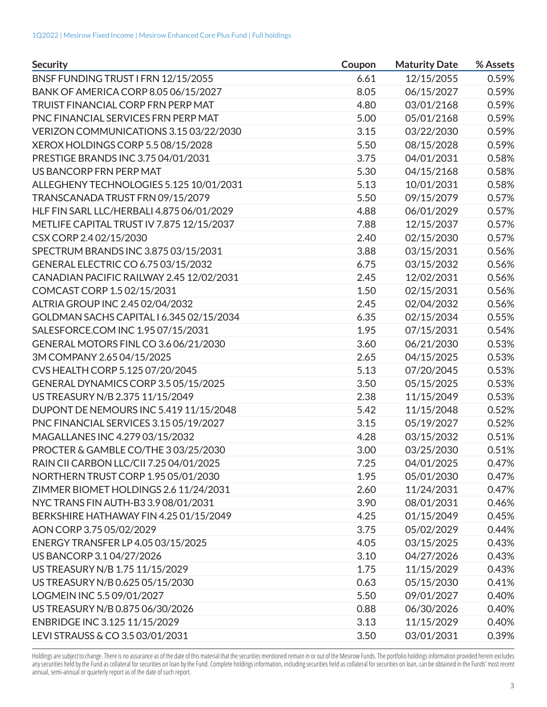| <b>Security</b>                           | Coupon | <b>Maturity Date</b> | % Assets |
|-------------------------------------------|--------|----------------------|----------|
| BNSF FUNDING TRUST I FRN 12/15/2055       | 6.61   | 12/15/2055           | 0.59%    |
| BANK OF AMERICA CORP 8.05 06/15/2027      | 8.05   | 06/15/2027           | 0.59%    |
| TRUIST FINANCIAL CORP FRN PERP MAT        | 4.80   | 03/01/2168           | 0.59%    |
| PNC FINANCIAL SERVICES FRN PERP MAT       | 5.00   | 05/01/2168           | 0.59%    |
| VERIZON COMMUNICATIONS 3.15 03/22/2030    | 3.15   | 03/22/2030           | 0.59%    |
| XEROX HOLDINGS CORP 5.5 08/15/2028        | 5.50   | 08/15/2028           | 0.59%    |
| PRESTIGE BRANDS INC 3.75 04/01/2031       | 3.75   | 04/01/2031           | 0.58%    |
| US BANCORP FRN PERP MAT                   | 5.30   | 04/15/2168           | 0.58%    |
| ALLEGHENY TECHNOLOGIES 5.125 10/01/2031   | 5.13   | 10/01/2031           | 0.58%    |
| TRANSCANADA TRUST FRN 09/15/2079          | 5.50   | 09/15/2079           | 0.57%    |
| HLF FIN SARL LLC/HERBALI 4.875 06/01/2029 | 4.88   | 06/01/2029           | 0.57%    |
| METLIFE CAPITAL TRUST IV 7.875 12/15/2037 | 7.88   | 12/15/2037           | 0.57%    |
| CSX CORP 2.4 02/15/2030                   | 2.40   | 02/15/2030           | 0.57%    |
| SPECTRUM BRANDS INC 3.875 03/15/2031      | 3.88   | 03/15/2031           | 0.56%    |
| GENERAL ELECTRIC CO 6.75 03/15/2032       | 6.75   | 03/15/2032           | 0.56%    |
| CANADIAN PACIFIC RAILWAY 2.45 12/02/2031  | 2.45   | 12/02/2031           | 0.56%    |
| COMCAST CORP 1.5 02/15/2031               | 1.50   | 02/15/2031           | 0.56%    |
| ALTRIA GROUP INC 2.45 02/04/2032          | 2.45   | 02/04/2032           | 0.56%    |
| GOLDMAN SACHS CAPITAL I 6.345 02/15/2034  | 6.35   | 02/15/2034           | 0.55%    |
| SALESFORCE.COM INC 1.95 07/15/2031        | 1.95   | 07/15/2031           | 0.54%    |
| GENERAL MOTORS FINL CO 3.6 06/21/2030     | 3.60   | 06/21/2030           | 0.53%    |
| 3M COMPANY 2.65 04/15/2025                | 2.65   | 04/15/2025           | 0.53%    |
| CVS HEALTH CORP 5.125 07/20/2045          | 5.13   | 07/20/2045           | 0.53%    |
| GENERAL DYNAMICS CORP 3.5 05/15/2025      | 3.50   | 05/15/2025           | 0.53%    |
| US TREASURY N/B 2.375 11/15/2049          | 2.38   | 11/15/2049           | 0.53%    |
| DUPONT DE NEMOURS INC 5.419 11/15/2048    | 5.42   | 11/15/2048           | 0.52%    |
| PNC FINANCIAL SERVICES 3.15 05/19/2027    | 3.15   | 05/19/2027           | 0.52%    |
| MAGALLANES INC 4.279 03/15/2032           | 4.28   | 03/15/2032           | 0.51%    |
| PROCTER & GAMBLE CO/THE 303/25/2030       | 3.00   | 03/25/2030           | 0.51%    |
| RAIN CII CARBON LLC/CII 7.25 04/01/2025   | 7.25   | 04/01/2025           | 0.47%    |
| NORTHERN TRUST CORP 1.95 05/01/2030       | 1.95   | 05/01/2030           | 0.47%    |
| ZIMMER BIOMET HOLDINGS 2.6 11/24/2031     | 2.60   | 11/24/2031           | 0.47%    |
| NYC TRANS FIN AUTH-B3 3.908/01/2031       | 3.90   | 08/01/2031           | 0.46%    |
| BERKSHIRE HATHAWAY FIN 4.25 01/15/2049    | 4.25   | 01/15/2049           | 0.45%    |
| AON CORP 3.75 05/02/2029                  | 3.75   | 05/02/2029           | 0.44%    |
| ENERGY TRANSFER LP 4.05 03/15/2025        | 4.05   | 03/15/2025           | 0.43%    |
| US BANCORP 3.104/27/2026                  | 3.10   | 04/27/2026           | 0.43%    |
| US TREASURY N/B 1.75 11/15/2029           | 1.75   | 11/15/2029           | 0.43%    |
| US TREASURY N/B 0.625 05/15/2030          | 0.63   | 05/15/2030           | 0.41%    |
| LOGMEIN INC 5.5 09/01/2027                | 5.50   | 09/01/2027           | 0.40%    |
| US TREASURY N/B 0.875 06/30/2026          | 0.88   | 06/30/2026           | 0.40%    |
| ENBRIDGE INC 3.125 11/15/2029             | 3.13   | 11/15/2029           | 0.40%    |
| LEVI STRAUSS & CO 3.5 03/01/2031          | 3.50   | 03/01/2031           | 0.39%    |

Holdings are subject to change. There is no assurance as of the date of this material that the securities mentioned remain in or out of the Mesirow Funds. The portfolio holdings information provided herein excludes any securities held by the Fund as collateral for securities on loan by the Fund. Complete holdings information, including securities held as collateral for securities on loan, can be obtained in the Funds' most recent annual, semi-annual or quarterly report as of the date of such report.